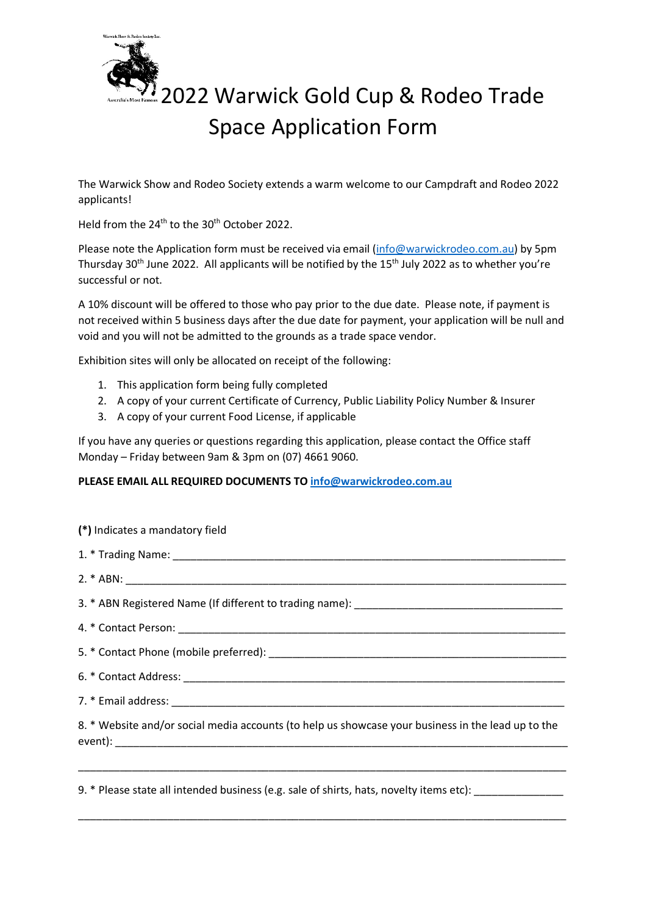

## 2022 Warwick Gold Cup & Rodeo Trade Space Application Form

The Warwick Show and Rodeo Society extends a warm welcome to our Campdraft and Rodeo 2022 applicants!

Held from the 24<sup>th</sup> to the 30<sup>th</sup> October 2022.

Please note the Application form must be received via email [\(info@warwickrodeo.com.au\)](mailto:info@warwickrodeo.com.au) by 5pm Thursday 30<sup>th</sup> June 2022. All applicants will be notified by the  $15<sup>th</sup>$  July 2022 as to whether you're successful or not.

A 10% discount will be offered to those who pay prior to the due date. Please note, if payment is not received within 5 business days after the due date for payment, your application will be null and void and you will not be admitted to the grounds as a trade space vendor.

Exhibition sites will only be allocated on receipt of the following:

- 1. This application form being fully completed
- 2. A copy of your current Certificate of Currency, Public Liability Policy Number & Insurer
- 3. A copy of your current Food License, if applicable

If you have any queries or questions regarding this application, please contact the Office staff Monday – Friday between 9am & 3pm on (07) 4661 9060.

## **PLEASE EMAIL ALL REQUIRED DOCUMENTS TO [info@warwickrodeo.com.au](mailto:info@warwickrodeo.com.au)**

| (*) Indicates a mandatory field                                                                    |
|----------------------------------------------------------------------------------------------------|
|                                                                                                    |
|                                                                                                    |
|                                                                                                    |
|                                                                                                    |
|                                                                                                    |
|                                                                                                    |
|                                                                                                    |
| 8. * Website and/or social media accounts (to help us showcase your business in the lead up to the |
|                                                                                                    |

\_\_\_\_\_\_\_\_\_\_\_\_\_\_\_\_\_\_\_\_\_\_\_\_\_\_\_\_\_\_\_\_\_\_\_\_\_\_\_\_\_\_\_\_\_\_\_\_\_\_\_\_\_\_\_\_\_\_\_\_\_\_\_\_\_\_\_\_\_\_\_\_\_\_\_\_\_\_\_\_\_\_

9. \* Please state all intended business (e.g. sale of shirts, hats, novelty items etc):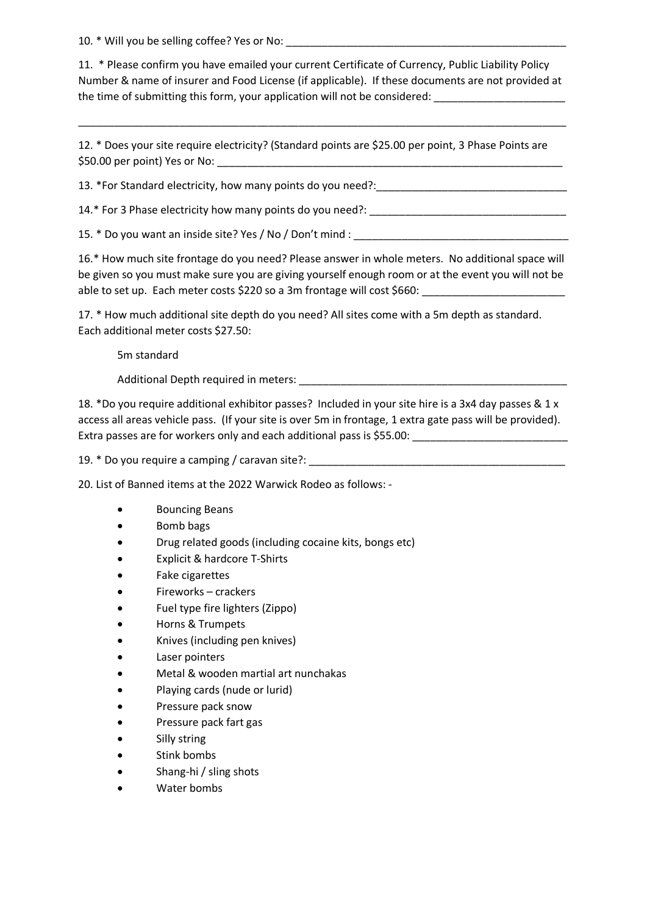10. \* Will you be selling coffee? Yes or No:

11. \* Please confirm you have emailed your current Certificate of Currency, Public Liability Policy Number & name of insurer and Food License (if applicable). If these documents are not provided at the time of submitting this form, your application will not be considered:

\_\_\_\_\_\_\_\_\_\_\_\_\_\_\_\_\_\_\_\_\_\_\_\_\_\_\_\_\_\_\_\_\_\_\_\_\_\_\_\_\_\_\_\_\_\_\_\_\_\_\_\_\_\_\_\_\_\_\_\_\_\_\_\_\_\_\_\_\_\_\_\_\_\_\_\_\_\_\_\_\_\_

12. \* Does your site require electricity? (Standard points are \$25.00 per point, 3 Phase Points are \$50.00 per point) Yes or No:

13. \*For Standard electricity, how many points do you need?:\_\_\_\_\_\_\_\_\_\_\_\_\_\_\_\_\_\_\_\_\_\_\_\_\_\_\_\_\_\_\_\_

14.\* For 3 Phase electricity how many points do you need?:

15. \* Do you want an inside site? Yes / No / Don't mind :

16.\* How much site frontage do you need? Please answer in whole meters. No additional space will be given so you must make sure you are giving yourself enough room or at the event you will not be able to set up. Each meter costs \$220 so a 3m frontage will cost \$660:

17. \* How much additional site depth do you need? All sites come with a 5m depth as standard. Each additional meter costs \$27.50:

5m standard

Additional Depth required in meters:

18. \*Do you require additional exhibitor passes? Included in your site hire is a 3x4 day passes & 1 x access all areas vehicle pass. (If your site is over 5m in frontage, 1 extra gate pass will be provided). Extra passes are for workers only and each additional pass is \$55.00:

19. \* Do you require a camping / caravan site?:

20. List of Banned items at the 2022 Warwick Rodeo as follows: -

- Bouncing Beans
- Bomb bags
- Drug related goods (including cocaine kits, bongs etc)
- Explicit & hardcore T-Shirts
- Fake cigarettes
- Fireworks crackers
- Fuel type fire lighters (Zippo)
- Horns & Trumpets
- Knives (including pen knives)
- Laser pointers
- Metal & wooden martial art nunchakas
- Playing cards (nude or lurid)
- Pressure pack snow
- Pressure pack fart gas
- Silly string
- Stink bombs
- Shang-hi / sling shots
- Water bombs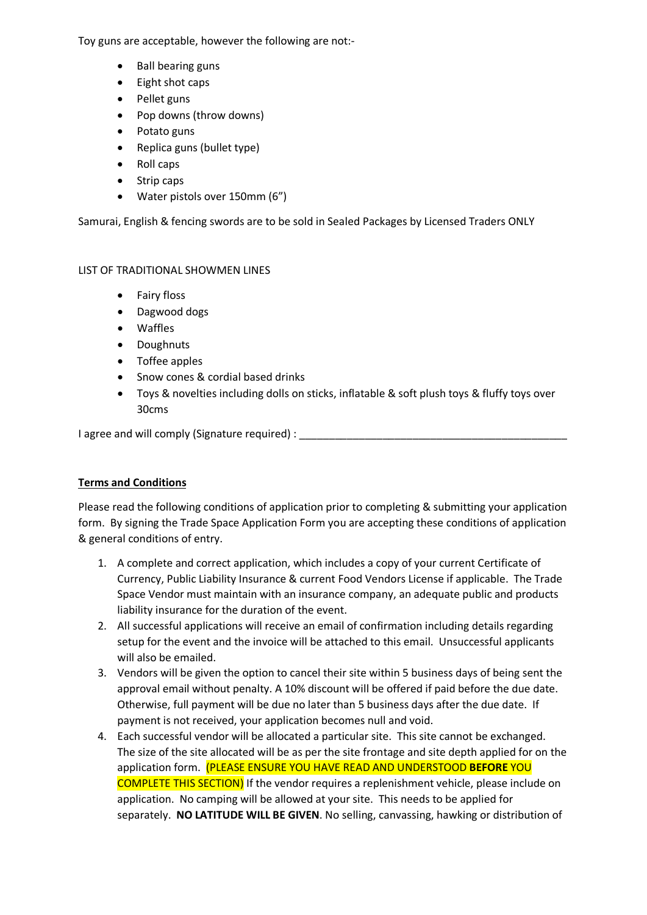Toy guns are acceptable, however the following are not:-

- Ball bearing guns
- Eight shot caps
- Pellet guns
- Pop downs (throw downs)
- Potato guns
- Replica guns (bullet type)
- Roll caps
- Strip caps
- Water pistols over 150mm (6")

Samurai, English & fencing swords are to be sold in Sealed Packages by Licensed Traders ONLY

## LIST OF TRADITIONAL SHOWMEN LINES

- Fairy floss
- Dagwood dogs
- Waffles
- Doughnuts
- Toffee apples
- Snow cones & cordial based drinks
- Toys & novelties including dolls on sticks, inflatable & soft plush toys & fluffy toys over 30cms

I agree and will comply (Signature required) : \_\_\_\_\_\_\_\_\_\_\_\_\_\_\_\_\_\_\_\_\_\_\_\_\_\_\_\_\_\_\_\_\_

## **Terms and Conditions**

Please read the following conditions of application prior to completing & submitting your application form. By signing the Trade Space Application Form you are accepting these conditions of application & general conditions of entry.

- 1. A complete and correct application, which includes a copy of your current Certificate of Currency, Public Liability Insurance & current Food Vendors License if applicable. The Trade Space Vendor must maintain with an insurance company, an adequate public and products liability insurance for the duration of the event.
- 2. All successful applications will receive an email of confirmation including details regarding setup for the event and the invoice will be attached to this email. Unsuccessful applicants will also be emailed.
- 3. Vendors will be given the option to cancel their site within 5 business days of being sent the approval email without penalty. A 10% discount will be offered if paid before the due date. Otherwise, full payment will be due no later than 5 business days after the due date. If payment is not received, your application becomes null and void.
- 4. Each successful vendor will be allocated a particular site. This site cannot be exchanged. The size of the site allocated will be as per the site frontage and site depth applied for on the application form. (PLEASE ENSURE YOU HAVE READ AND UNDERSTOOD **BEFORE** YOU COMPLETE THIS SECTION) If the vendor requires a replenishment vehicle, please include on application. No camping will be allowed at your site. This needs to be applied for separately. **NO LATITUDE WILL BE GIVEN**. No selling, canvassing, hawking or distribution of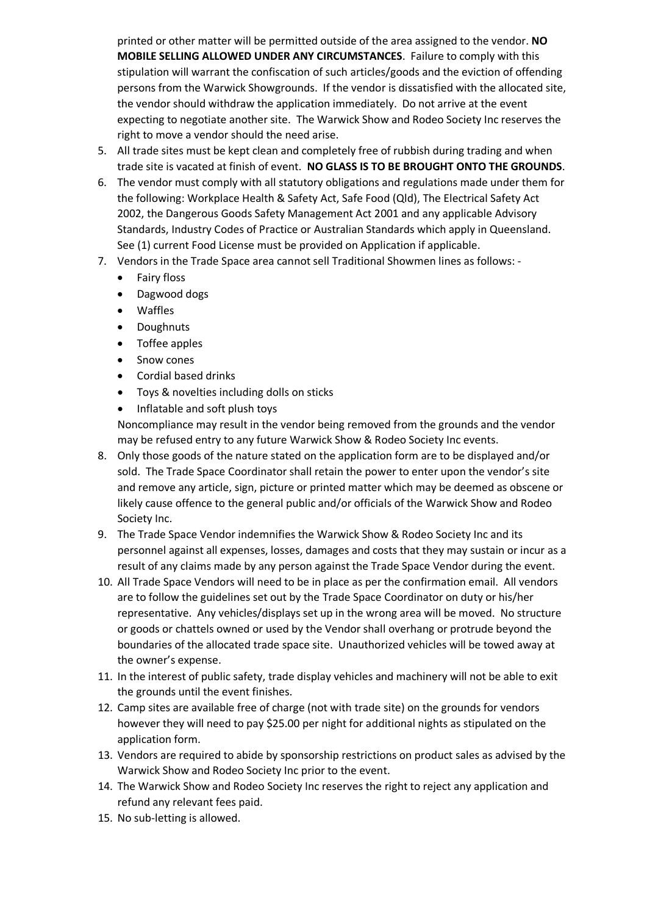printed or other matter will be permitted outside of the area assigned to the vendor. **NO MOBILE SELLING ALLOWED UNDER ANY CIRCUMSTANCES**. Failure to comply with this stipulation will warrant the confiscation of such articles/goods and the eviction of offending persons from the Warwick Showgrounds. If the vendor is dissatisfied with the allocated site, the vendor should withdraw the application immediately. Do not arrive at the event expecting to negotiate another site. The Warwick Show and Rodeo Society Inc reserves the right to move a vendor should the need arise.

- 5. All trade sites must be kept clean and completely free of rubbish during trading and when trade site is vacated at finish of event. **NO GLASS IS TO BE BROUGHT ONTO THE GROUNDS**.
- 6. The vendor must comply with all statutory obligations and regulations made under them for the following: Workplace Health & Safety Act, Safe Food (Qld), The Electrical Safety Act 2002, the Dangerous Goods Safety Management Act 2001 and any applicable Advisory Standards, Industry Codes of Practice or Australian Standards which apply in Queensland. See (1) current Food License must be provided on Application if applicable.
- 7. Vendors in the Trade Space area cannot sell Traditional Showmen lines as follows:
	- Fairy floss
	- Dagwood dogs
	- Waffles
	- Doughnuts
	- Toffee apples
	- Snow cones
	- Cordial based drinks
	- Toys & novelties including dolls on sticks
	- Inflatable and soft plush toys

Noncompliance may result in the vendor being removed from the grounds and the vendor may be refused entry to any future Warwick Show & Rodeo Society Inc events.

- 8. Only those goods of the nature stated on the application form are to be displayed and/or sold. The Trade Space Coordinator shall retain the power to enter upon the vendor's site and remove any article, sign, picture or printed matter which may be deemed as obscene or likely cause offence to the general public and/or officials of the Warwick Show and Rodeo Society Inc.
- 9. The Trade Space Vendor indemnifies the Warwick Show & Rodeo Society Inc and its personnel against all expenses, losses, damages and costs that they may sustain or incur as a result of any claims made by any person against the Trade Space Vendor during the event.
- 10. All Trade Space Vendors will need to be in place as per the confirmation email. All vendors are to follow the guidelines set out by the Trade Space Coordinator on duty or his/her representative. Any vehicles/displays set up in the wrong area will be moved. No structure or goods or chattels owned or used by the Vendor shall overhang or protrude beyond the boundaries of the allocated trade space site. Unauthorized vehicles will be towed away at the owner's expense.
- 11. In the interest of public safety, trade display vehicles and machinery will not be able to exit the grounds until the event finishes.
- 12. Camp sites are available free of charge (not with trade site) on the grounds for vendors however they will need to pay \$25.00 per night for additional nights as stipulated on the application form.
- 13. Vendors are required to abide by sponsorship restrictions on product sales as advised by the Warwick Show and Rodeo Society Inc prior to the event.
- 14. The Warwick Show and Rodeo Society Inc reserves the right to reject any application and refund any relevant fees paid.
- 15. No sub-letting is allowed.